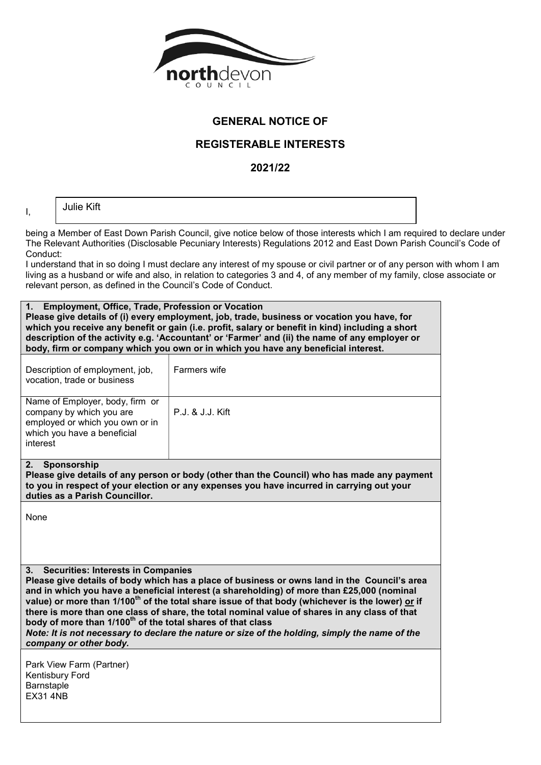

## GENERAL NOTICE OF

## REGISTERABLE INTERESTS

2021/22

I,

Julie Kift

being a Member of East Down Parish Council, give notice below of those interests which I am required to declare under The Relevant Authorities (Disclosable Pecuniary Interests) Regulations 2012 and East Down Parish Council's Code of Conduct:

I understand that in so doing I must declare any interest of my spouse or civil partner or of any person with whom I am living as a husband or wife and also, in relation to categories 3 and 4, of any member of my family, close associate or relevant person, as defined in the Council's Code of Conduct.

| 1. Employment, Office, Trade, Profession or Vocation<br>Please give details of (i) every employment, job, trade, business or vocation you have, for<br>which you receive any benefit or gain (i.e. profit, salary or benefit in kind) including a short                                                                                                                                                                                                                                                                                                                                                                                                               |                  |  |
|-----------------------------------------------------------------------------------------------------------------------------------------------------------------------------------------------------------------------------------------------------------------------------------------------------------------------------------------------------------------------------------------------------------------------------------------------------------------------------------------------------------------------------------------------------------------------------------------------------------------------------------------------------------------------|------------------|--|
| description of the activity e.g. 'Accountant' or 'Farmer' and (ii) the name of any employer or<br>body, firm or company which you own or in which you have any beneficial interest.                                                                                                                                                                                                                                                                                                                                                                                                                                                                                   |                  |  |
| Description of employment, job,<br>vocation, trade or business                                                                                                                                                                                                                                                                                                                                                                                                                                                                                                                                                                                                        | Farmers wife     |  |
| Name of Employer, body, firm or<br>company by which you are<br>employed or which you own or in<br>which you have a beneficial<br>interest                                                                                                                                                                                                                                                                                                                                                                                                                                                                                                                             | P.J. & J.J. Kift |  |
| Sponsorship<br>2.<br>Please give details of any person or body (other than the Council) who has made any payment<br>to you in respect of your election or any expenses you have incurred in carrying out your<br>duties as a Parish Councillor.                                                                                                                                                                                                                                                                                                                                                                                                                       |                  |  |
| None                                                                                                                                                                                                                                                                                                                                                                                                                                                                                                                                                                                                                                                                  |                  |  |
| <b>Securities: Interests in Companies</b><br>3.<br>Please give details of body which has a place of business or owns land in the Council's area<br>and in which you have a beneficial interest (a shareholding) of more than £25,000 (nominal<br>value) or more than 1/100 <sup>th</sup> of the total share issue of that body (whichever is the lower) or if<br>there is more than one class of share, the total nominal value of shares in any class of that<br>body of more than 1/100 <sup>th</sup> of the total shares of that class<br>Note: It is not necessary to declare the nature or size of the holding, simply the name of the<br>company or other body. |                  |  |
| Park View Farm (Partner)<br>Kentisbury Ford<br>Barnstaple<br><b>EX31 4NB</b>                                                                                                                                                                                                                                                                                                                                                                                                                                                                                                                                                                                          |                  |  |